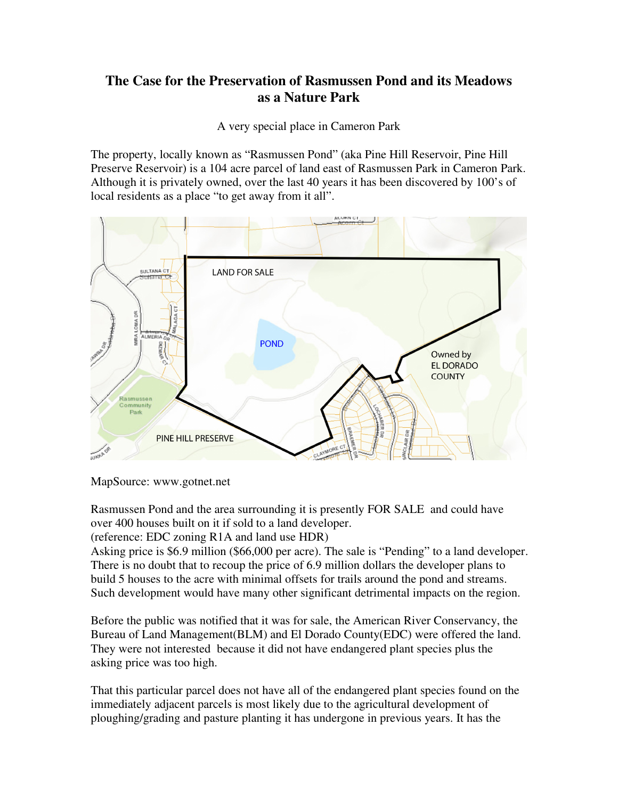## **The Case for the Preservation of Rasmussen Pond and its Meadows as a Nature Park**

A very special place in Cameron Park

The property, locally known as "Rasmussen Pond" (aka Pine Hill Reservoir, Pine Hill Preserve Reservoir) is a 104 acre parcel of land east of Rasmussen Park in Cameron Park. Although it is privately owned, over the last 40 years it has been discovered by 100's of local residents as a place "to get away from it all".



MapSource: www.gotnet.net

Rasmussen Pond and the area surrounding it is presently FOR SALE and could have over 400 houses built on it if sold to a land developer.

(reference: EDC zoning R1A and land use HDR)

Asking price is \$6.9 million (\$66,000 per acre). The sale is "Pending" to a land developer. There is no doubt that to recoup the price of 6.9 million dollars the developer plans to build 5 houses to the acre with minimal offsets for trails around the pond and streams. Such development would have many other significant detrimental impacts on the region.

Before the public was notified that it was for sale, the American River Conservancy, the Bureau of Land Management(BLM) and El Dorado County(EDC) were offered the land. They were not interested because it did not have endangered plant species plus the asking price was too high.

That this particular parcel does not have all of the endangered plant species found on the immediately adjacent parcels is most likely due to the agricultural development of ploughing/grading and pasture planting it has undergone in previous years. It has the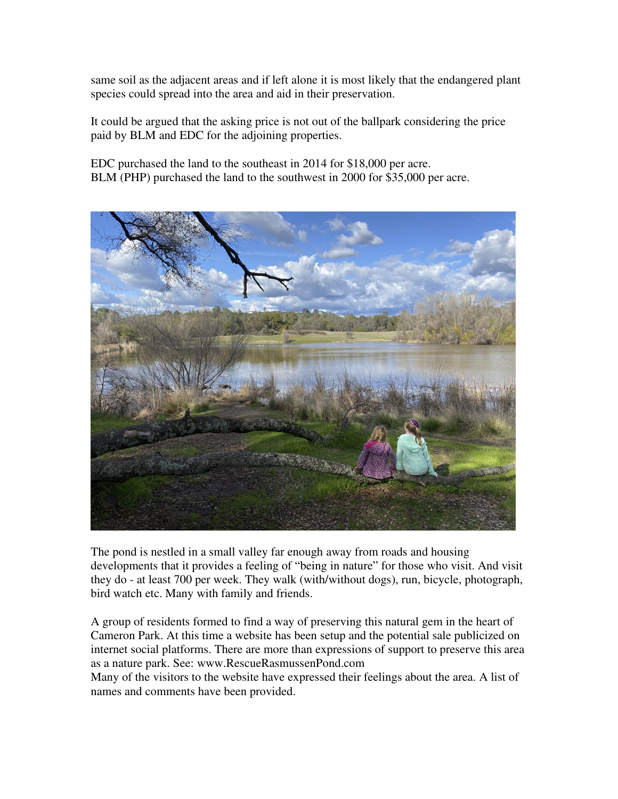same soil as the adjacent areas and if left alone it is most likely that the endangered plant species could spread into the area and aid in their preservation.

It could be argued that the asking price is not out of the ballpark considering the price paid by BLM and EDC for the adjoining properties.

EDC purchased the land to the southeast in 2014 for \$18,000 per acre. BLM (PHP) purchased the land to the southwest in 2000 for \$35,000 per acre.



The pond is nestled in a small valley far enough away from roads and housing developments that it provides a feeling of "being in nature" for those who visit. And visit they do - at least 700 per week. They walk (with/without dogs), run, bicycle, photograph, bird watch etc. Many with family and friends.

A group of residents formed to find a way of preserving this natural gem in the heart of Cameron Park. At this time a website has been setup and the potential sale publicized on internet social platforms. There are more than expressions of support to preserve this area as a nature park. See: www.RescueRasmussenPond.com

Many of the visitors to the website have expressed their feelings about the area. A list of names and comments have been provided.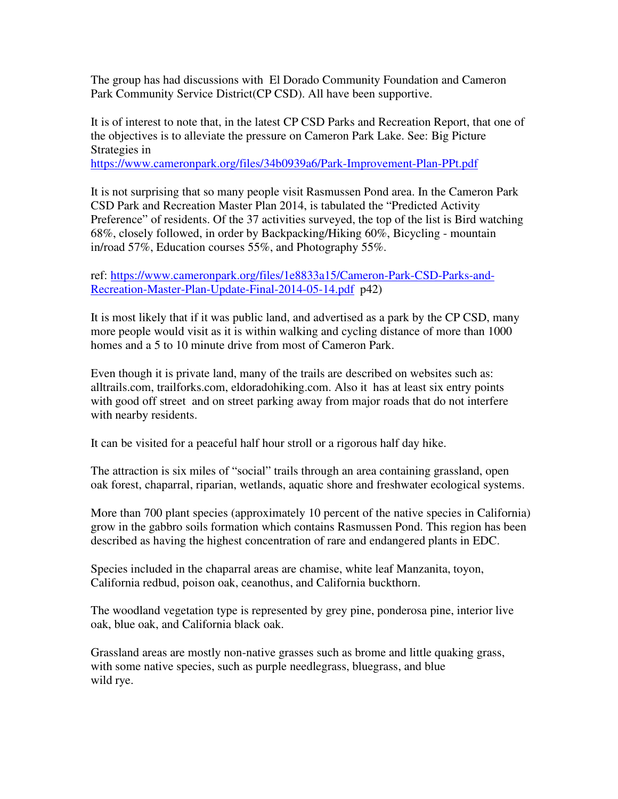The group has had discussions with El Dorado Community Foundation and Cameron Park Community Service District(CP CSD). All have been supportive.

It is of interest to note that, in the latest CP CSD Parks and Recreation Report, that one of the objectives is to alleviate the pressure on Cameron Park Lake. See: Big Picture Strategies in

https://www.cameronpark.org/files/34b0939a6/Park-Improvement-Plan-PPt.pdf

It is not surprising that so many people visit Rasmussen Pond area. In the Cameron Park CSD Park and Recreation Master Plan 2014, is tabulated the "Predicted Activity Preference" of residents. Of the 37 activities surveyed, the top of the list is Bird watching 68%, closely followed, in order by Backpacking/Hiking 60%, Bicycling - mountain in/road 57%, Education courses 55%, and Photography 55%.

ref: https://www.cameronpark.org/files/1e8833a15/Cameron-Park-CSD-Parks-and-Recreation-Master-Plan-Update-Final-2014-05-14.pdf p42)

It is most likely that if it was public land, and advertised as a park by the CP CSD, many more people would visit as it is within walking and cycling distance of more than 1000 homes and a 5 to 10 minute drive from most of Cameron Park.

Even though it is private land, many of the trails are described on websites such as: alltrails.com, trailforks.com, eldoradohiking.com. Also it has at least six entry points with good off street and on street parking away from major roads that do not interfere with nearby residents.

It can be visited for a peaceful half hour stroll or a rigorous half day hike.

The attraction is six miles of "social" trails through an area containing grassland, open oak forest, chaparral, riparian, wetlands, aquatic shore and freshwater ecological systems.

More than 700 plant species (approximately 10 percent of the native species in California) grow in the gabbro soils formation which contains Rasmussen Pond. This region has been described as having the highest concentration of rare and endangered plants in EDC.

Species included in the chaparral areas are chamise, white leaf Manzanita, toyon, California redbud, poison oak, ceanothus, and California buckthorn.

The woodland vegetation type is represented by grey pine, ponderosa pine, interior live oak, blue oak, and California black oak.

Grassland areas are mostly non-native grasses such as brome and little quaking grass, with some native species, such as purple needlegrass, bluegrass, and blue wild rye.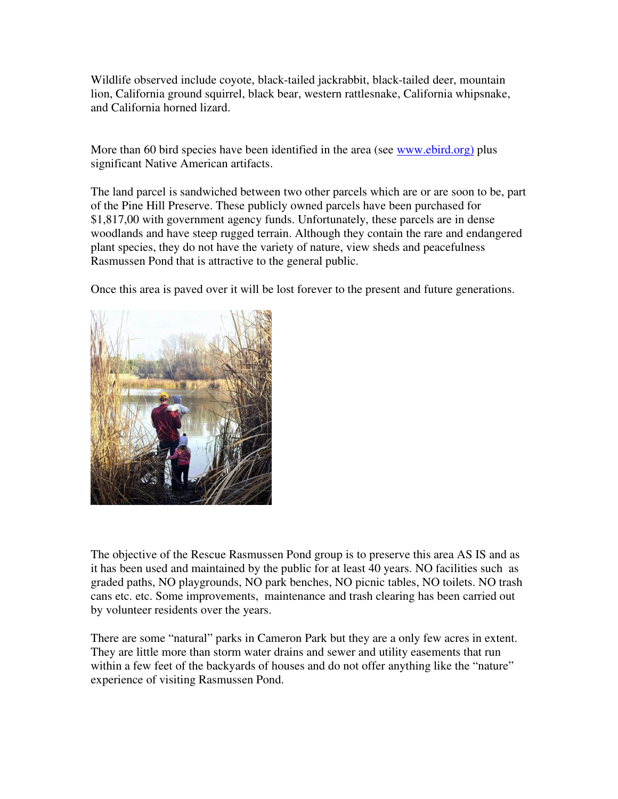Wildlife observed include coyote, black-tailed jackrabbit, black-tailed deer, mountain lion, California ground squirrel, black bear, western rattlesnake, California whipsnake, and California horned lizard.

More than 60 bird species have been identified in the area (see www.ebird.org) plus significant Native American artifacts.

The land parcel is sandwiched between two other parcels which are or are soon to be, part of the Pine Hill Preserve. These publicly owned parcels have been purchased for \$1,817,00 with government agency funds. Unfortunately, these parcels are in dense woodlands and have steep rugged terrain. Although they contain the rare and endangered plant species, they do not have the variety of nature, view sheds and peacefulness Rasmussen Pond that is attractive to the general public.

Once this area is paved over it will be lost forever to the present and future generations.



The objective of the Rescue Rasmussen Pond group is to preserve this area AS IS and as it has been used and maintained by the public for at least 40 years. NO facilities such as graded paths, NO playgrounds, NO park benches, NO picnic tables, NO toilets. NO trash cans etc. etc. Some improvements, maintenance and trash clearing has been carried out by volunteer residents over the years.

There are some "natural" parks in Cameron Park but they are a only few acres in extent. They are little more than storm water drains and sewer and utility easements that run within a few feet of the backyards of houses and do not offer anything like the "nature" experience of visiting Rasmussen Pond.